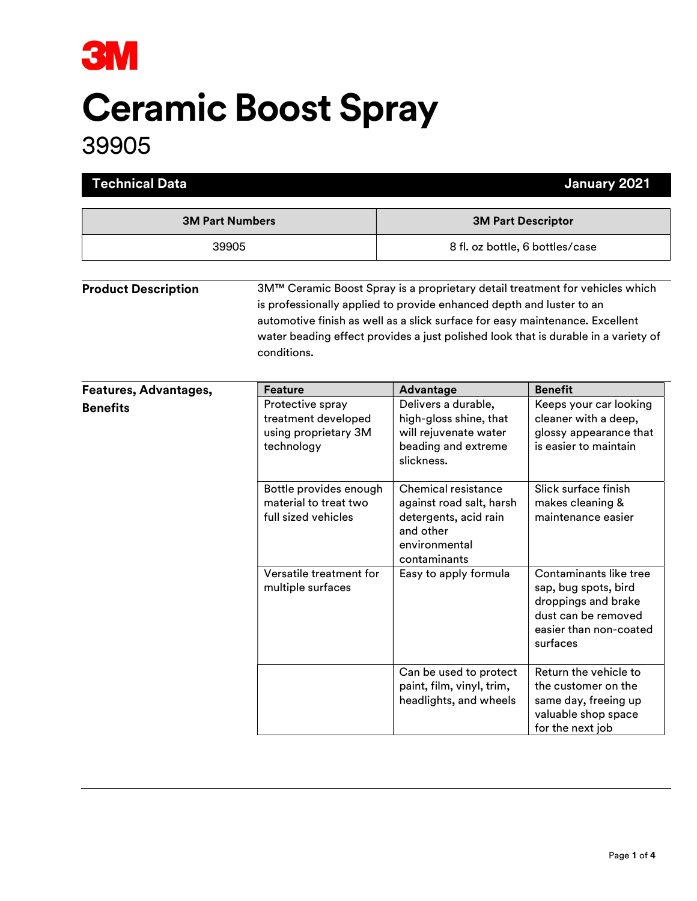

# Ceramic Boost Spray

## 39905

| <b>Technical Data</b>      |                                                                                                                                                                                                                                                                                                                                           |                                                                                                                                                                | January 2021                                                                                                                                  |
|----------------------------|-------------------------------------------------------------------------------------------------------------------------------------------------------------------------------------------------------------------------------------------------------------------------------------------------------------------------------------------|----------------------------------------------------------------------------------------------------------------------------------------------------------------|-----------------------------------------------------------------------------------------------------------------------------------------------|
| <b>3M Part Numbers</b>     |                                                                                                                                                                                                                                                                                                                                           | <b>3M Part Descriptor</b>                                                                                                                                      |                                                                                                                                               |
| 39905                      |                                                                                                                                                                                                                                                                                                                                           | 8 fl. oz bottle, 6 bottles/case                                                                                                                                |                                                                                                                                               |
| <b>Product Description</b> | 3M™ Ceramic Boost Spray is a proprietary detail treatment for vehicles which<br>is professionally applied to provide enhanced depth and luster to an<br>automotive finish as well as a slick surface for easy maintenance. Excellent<br>water beading effect provides a just polished look that is durable in a variety of<br>conditions. |                                                                                                                                                                |                                                                                                                                               |
| Features, Advantages,      | <b>Feature</b>                                                                                                                                                                                                                                                                                                                            | Advantage                                                                                                                                                      | <b>Benefit</b>                                                                                                                                |
| <b>Benefits</b>            | Protective spray<br>treatment developed<br>using proprietary 3M<br>technology<br>Bottle provides enough<br>material to treat two                                                                                                                                                                                                          | Delivers a durable,<br>high-gloss shine, that<br>will rejuvenate water<br>beading and extreme<br>slickness.<br>Chemical resistance<br>against road salt, harsh | Keeps your car looking<br>cleaner with a deep,<br>glossy appearance that<br>is easier to maintain<br>Slick surface finish<br>makes cleaning & |
|                            | full sized vehicles                                                                                                                                                                                                                                                                                                                       | detergents, acid rain<br>and other<br>environmental<br>contaminants                                                                                            | maintenance easier                                                                                                                            |
|                            | Versatile treatment for<br>multiple surfaces                                                                                                                                                                                                                                                                                              | Easy to apply formula                                                                                                                                          | Contaminants like tree<br>sap, bug spots, bird<br>droppings and brake<br>dust can be removed<br>easier than non-coated<br>surfaces            |
|                            |                                                                                                                                                                                                                                                                                                                                           | Can be used to protect<br>paint, film, vinyl, trim,<br>headlights, and wheels                                                                                  | Return the vehicle to<br>the customer on the<br>same day, freeing up<br>valuable shop space<br>for the next job                               |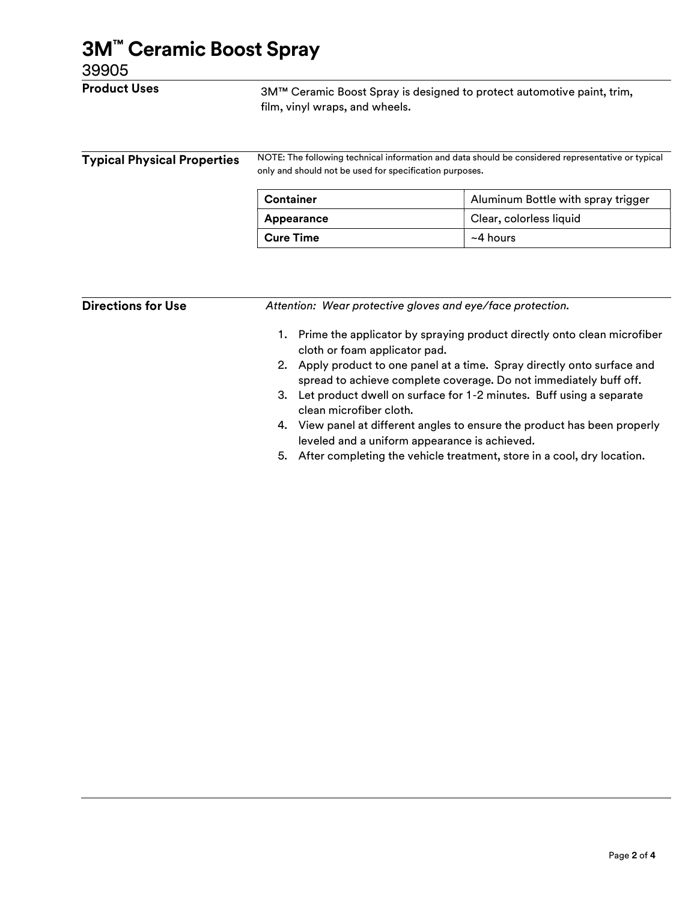| <b>Product Uses</b>                | 3M™ Ceramic Boost Spray is designed to protect automotive paint, trim,<br>film, vinyl wraps, and wheels.<br>NOTE: The following technical information and data should be considered representative or typical<br>only and should not be used for specification purposes. |                                    |  |
|------------------------------------|--------------------------------------------------------------------------------------------------------------------------------------------------------------------------------------------------------------------------------------------------------------------------|------------------------------------|--|
| <b>Typical Physical Properties</b> |                                                                                                                                                                                                                                                                          |                                    |  |
|                                    | <b>Container</b>                                                                                                                                                                                                                                                         | Aluminum Bottle with spray trigger |  |
|                                    | Appearance                                                                                                                                                                                                                                                               | Clear, colorless liquid            |  |
|                                    | <b>Cure Time</b>                                                                                                                                                                                                                                                         | $~1$ hours                         |  |

1. Prime the applicator by spraying product directly onto clean microfiber cloth or foam applicator pad.

- 2. Apply product to one panel at a time. Spray directly onto surface and spread to achieve complete coverage. Do not immediately buff off.
- 3. Let product dwell on surface for 1-2 minutes. Buff using a separate clean microfiber cloth.
- 4. View panel at different angles to ensure the product has been properly leveled and a uniform appearance is achieved.
- 5. After completing the vehicle treatment, store in a cool, dry location.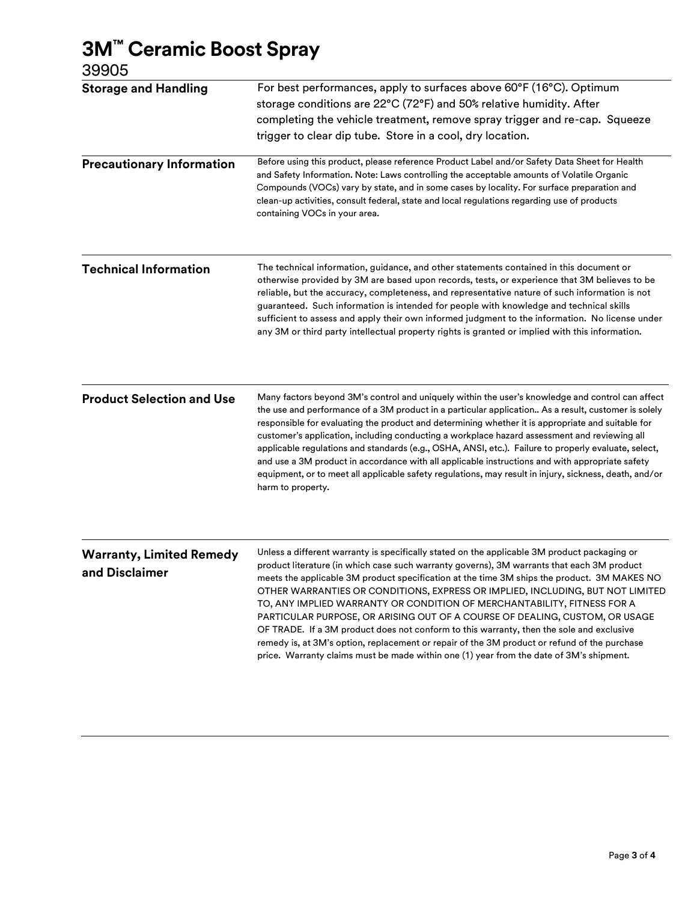### 3M™ Ceramic Boost Spray

39905

| <b>Storage and Handling</b>                       | For best performances, apply to surfaces above 60°F (16°C). Optimum<br>storage conditions are 22°C (72°F) and 50% relative humidity. After<br>completing the vehicle treatment, remove spray trigger and re-cap. Squeeze<br>trigger to clear dip tube. Store in a cool, dry location.<br>Before using this product, please reference Product Label and/or Safety Data Sheet for Health                                                                                                                                                                                                                                                                                                                                                                                                                                       |  |  |
|---------------------------------------------------|------------------------------------------------------------------------------------------------------------------------------------------------------------------------------------------------------------------------------------------------------------------------------------------------------------------------------------------------------------------------------------------------------------------------------------------------------------------------------------------------------------------------------------------------------------------------------------------------------------------------------------------------------------------------------------------------------------------------------------------------------------------------------------------------------------------------------|--|--|
| <b>Precautionary Information</b>                  | and Safety Information. Note: Laws controlling the acceptable amounts of Volatile Organic<br>Compounds (VOCs) vary by state, and in some cases by locality. For surface preparation and<br>clean-up activities, consult federal, state and local regulations regarding use of products<br>containing VOCs in your area.                                                                                                                                                                                                                                                                                                                                                                                                                                                                                                      |  |  |
| <b>Technical Information</b>                      | The technical information, guidance, and other statements contained in this document or<br>otherwise provided by 3M are based upon records, tests, or experience that 3M believes to be<br>reliable, but the accuracy, completeness, and representative nature of such information is not<br>guaranteed. Such information is intended for people with knowledge and technical skills<br>sufficient to assess and apply their own informed judgment to the information. No license under<br>any 3M or third party intellectual property rights is granted or implied with this information.                                                                                                                                                                                                                                   |  |  |
| <b>Product Selection and Use</b>                  | Many factors beyond 3M's control and uniquely within the user's knowledge and control can affect<br>the use and performance of a 3M product in a particular application As a result, customer is solely<br>responsible for evaluating the product and determining whether it is appropriate and suitable for<br>customer's application, including conducting a workplace hazard assessment and reviewing all<br>applicable regulations and standards (e.g., OSHA, ANSI, etc.). Failure to properly evaluate, select,<br>and use a 3M product in accordance with all applicable instructions and with appropriate safety<br>equipment, or to meet all applicable safety regulations, may result in injury, sickness, death, and/or<br>harm to property.                                                                       |  |  |
| <b>Warranty, Limited Remedy</b><br>and Disclaimer | Unless a different warranty is specifically stated on the applicable 3M product packaging or<br>product literature (in which case such warranty governs), 3M warrants that each 3M product<br>meets the applicable 3M product specification at the time 3M ships the product. 3M MAKES NO<br>OTHER WARRANTIES OR CONDITIONS, EXPRESS OR IMPLIED, INCLUDING, BUT NOT LIMITED<br>TO, ANY IMPLIED WARRANTY OR CONDITION OF MERCHANTABILITY, FITNESS FOR A<br>PARTICULAR PURPOSE, OR ARISING OUT OF A COURSE OF DEALING, CUSTOM, OR USAGE<br>OF TRADE. If a 3M product does not conform to this warranty, then the sole and exclusive<br>remedy is, at 3M's option, replacement or repair of the 3M product or refund of the purchase<br>price. Warranty claims must be made within one (1) year from the date of 3M's shipment. |  |  |